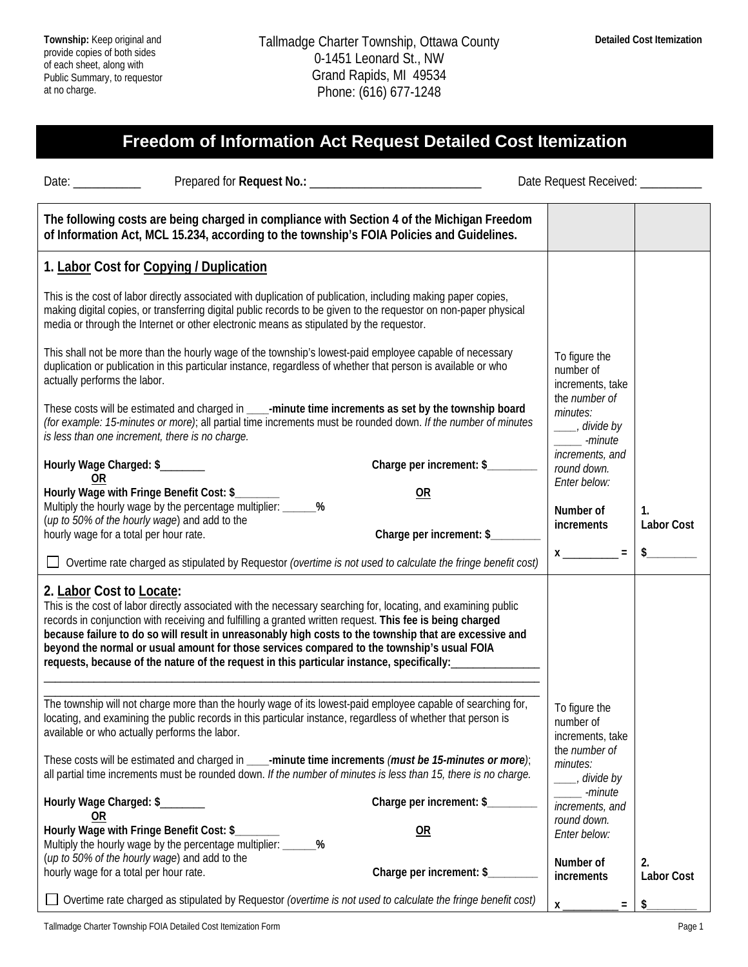## **Freedom of Information Act Request Detailed Cost Itemization**

| Date: $\frac{1}{\sqrt{1-\frac{1}{2}}\cdot\frac{1}{2}}$                                                                                                                                                                                                                                                                                                                                                                                                                                                                                                       |                                 | Date Request Received: __________                                           |                                                      |
|--------------------------------------------------------------------------------------------------------------------------------------------------------------------------------------------------------------------------------------------------------------------------------------------------------------------------------------------------------------------------------------------------------------------------------------------------------------------------------------------------------------------------------------------------------------|---------------------------------|-----------------------------------------------------------------------------|------------------------------------------------------|
| The following costs are being charged in compliance with Section 4 of the Michigan Freedom<br>of Information Act, MCL 15.234, according to the township's FOIA Policies and Guidelines.                                                                                                                                                                                                                                                                                                                                                                      |                                 |                                                                             |                                                      |
| 1. Labor Cost for Copying / Duplication                                                                                                                                                                                                                                                                                                                                                                                                                                                                                                                      |                                 |                                                                             |                                                      |
| This is the cost of labor directly associated with duplication of publication, including making paper copies,<br>making digital copies, or transferring digital public records to be given to the requestor on non-paper physical<br>media or through the Internet or other electronic means as stipulated by the requestor.                                                                                                                                                                                                                                 |                                 |                                                                             |                                                      |
| This shall not be more than the hourly wage of the township's lowest-paid employee capable of necessary<br>duplication or publication in this particular instance, regardless of whether that person is available or who<br>actually performs the labor.                                                                                                                                                                                                                                                                                                     |                                 | To figure the<br>number of<br>increments, take                              |                                                      |
| These costs will be estimated and charged in ____-minute time increments as set by the township board<br>(for example: 15-minutes or more); all partial time increments must be rounded down. If the number of minutes<br>is less than one increment, there is no charge.                                                                                                                                                                                                                                                                                    |                                 | the number of<br>minutes:<br>____, divide by<br>-minute                     |                                                      |
| Hourly Wage Charged: \$<br>0R                                                                                                                                                                                                                                                                                                                                                                                                                                                                                                                                | Charge per increment: \$        | increments, and<br>round down.                                              |                                                      |
| Hourly Wage with Fringe Benefit Cost: \$<br>Multiply the hourly wage by the percentage multiplier: _______%<br>(up to 50% of the hourly wage) and add to the<br>hourly wage for a total per hour rate.<br>□ Overtime rate charged as stipulated by Requestor (overtime is not used to calculate the fringe benefit cost)                                                                                                                                                                                                                                     | 0R<br>Charge per increment: \$  | Enter below:<br>Number of<br>increments<br>$x \overline{\phantom{a}} =$     | $\mathbf{1}$ .<br><b>Labor Cost</b><br>$\frac{1}{2}$ |
| 2. Labor Cost to Locate:<br>This is the cost of labor directly associated with the necessary searching for, locating, and examining public<br>records in conjunction with receiving and fulfilling a granted written request. This fee is being charged<br>because failure to do so will result in unreasonably high costs to the township that are excessive and<br>beyond the normal or usual amount for those services compared to the township's usual FOIA<br>requests, because of the nature of the request in this particular instance, specifically: |                                 |                                                                             |                                                      |
| The township will not charge more than the hourly wage of its lowest-paid employee capable of searching for,<br>locating, and examining the public records in this particular instance, regardless of whether that person is<br>available or who actually performs the labor.<br>These costs will be estimated and charged in ____-minute time increments (must be 15-minutes or more);                                                                                                                                                                      |                                 | To figure the<br>number of<br>increments, take<br>the number of<br>minutes: |                                                      |
| all partial time increments must be rounded down. If the number of minutes is less than 15, there is no charge.                                                                                                                                                                                                                                                                                                                                                                                                                                              |                                 | ___, divide by<br>-minute                                                   |                                                      |
| Hourly Wage Charged: \$<br>0R                                                                                                                                                                                                                                                                                                                                                                                                                                                                                                                                | Charge per increment: \$_______ | increments, and<br>round down.                                              |                                                      |
| Hourly Wage with Fringe Benefit Cost: \$_<br>%<br>Multiply the hourly wage by the percentage multiplier: _____<br>(up to 50% of the hourly wage) and add to the                                                                                                                                                                                                                                                                                                                                                                                              | OR                              | Enter below:<br>Number of                                                   | 2.                                                   |
| hourly wage for a total per hour rate.                                                                                                                                                                                                                                                                                                                                                                                                                                                                                                                       | Charge per increment: \$        | increments                                                                  | <b>Labor Cost</b>                                    |
| Overtime rate charged as stipulated by Requestor (overtime is not used to calculate the fringe benefit cost)                                                                                                                                                                                                                                                                                                                                                                                                                                                 |                                 | $x_{-}$                                                                     |                                                      |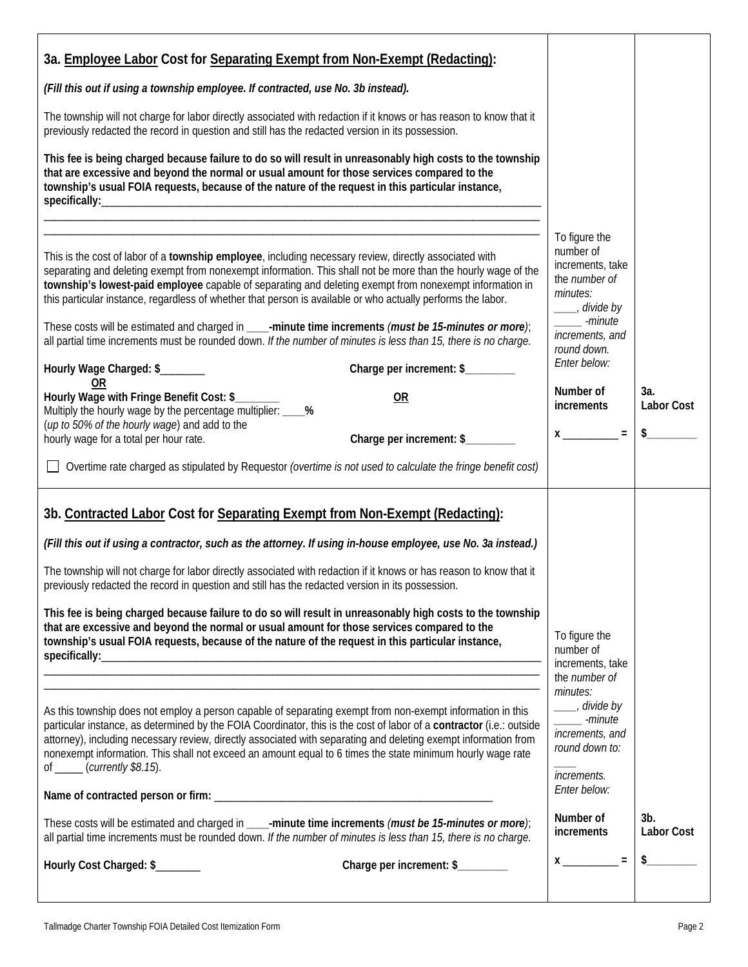| 3a. Employee Labor Cost for Separating Exempt from Non-Exempt (Redacting):                                                                                                                                                                                                                                                                                                                                                                                                                                    |                                                                                                           |                             |
|---------------------------------------------------------------------------------------------------------------------------------------------------------------------------------------------------------------------------------------------------------------------------------------------------------------------------------------------------------------------------------------------------------------------------------------------------------------------------------------------------------------|-----------------------------------------------------------------------------------------------------------|-----------------------------|
| (Fill this out if using a township employee. If contracted, use No. 3b instead).                                                                                                                                                                                                                                                                                                                                                                                                                              |                                                                                                           |                             |
| The township will not charge for labor directly associated with redaction if it knows or has reason to know that it<br>previously redacted the record in question and still has the redacted version in its possession.                                                                                                                                                                                                                                                                                       |                                                                                                           |                             |
| This fee is being charged because failure to do so will result in unreasonably high costs to the township<br>that are excessive and beyond the normal or usual amount for those services compared to the<br>township's usual FOIA requests, because of the nature of the request in this particular instance,                                                                                                                                                                                                 |                                                                                                           |                             |
|                                                                                                                                                                                                                                                                                                                                                                                                                                                                                                               |                                                                                                           |                             |
| This is the cost of labor of a township employee, including necessary review, directly associated with<br>separating and deleting exempt from nonexempt information. This shall not be more than the hourly wage of the<br>township's lowest-paid employee capable of separating and deleting exempt from nonexempt information in<br>this particular instance, regardless of whether that person is available or who actually performs the labor.                                                            | To figure the<br>number of<br>increments, take<br>the number of<br>minutes:<br>____, divide by<br>-minute |                             |
| These costs will be estimated and charged in ____-minute time increments (must be 15-minutes or more);<br>all partial time increments must be rounded down. If the number of minutes is less than 15, there is no charge.                                                                                                                                                                                                                                                                                     | increments, and<br>round down.                                                                            |                             |
| Charge per increment: \$_______<br>Hourly Wage Charged: \$_______<br>0R                                                                                                                                                                                                                                                                                                                                                                                                                                       | Enter below:                                                                                              |                             |
| Hourly Wage with Fringe Benefit Cost: \$_<br><b>OR</b><br>Multiply the hourly wage by the percentage multiplier: ____%                                                                                                                                                                                                                                                                                                                                                                                        | Number of<br>increments                                                                                   | За.<br><b>Labor Cost</b>    |
| (up to 50% of the hourly wage) and add to the<br>Charge per increment: \$<br>hourly wage for a total per hour rate.                                                                                                                                                                                                                                                                                                                                                                                           | $x$ _________ = $\frac{1}{2}$ \$                                                                          |                             |
| Overtime rate charged as stipulated by Requestor (overtime is not used to calculate the fringe benefit cost)                                                                                                                                                                                                                                                                                                                                                                                                  |                                                                                                           |                             |
| 3b. Contracted Labor Cost for Separating Exempt from Non-Exempt (Redacting):                                                                                                                                                                                                                                                                                                                                                                                                                                  |                                                                                                           |                             |
| (Fill this out if using a contractor, such as the attorney. If using in-house employee, use No. 3a instead.)                                                                                                                                                                                                                                                                                                                                                                                                  |                                                                                                           |                             |
| The township will not charge for labor directly associated with redaction if it knows or has reason to know that it<br>previously redacted the record in question and still has the redacted version in its possession.                                                                                                                                                                                                                                                                                       |                                                                                                           |                             |
| This fee is being charged because failure to do so will result in unreasonably high costs to the township<br>that are excessive and beyond the normal or usual amount for those services compared to the<br>township's usual FOIA requests, because of the nature of the request in this particular instance,                                                                                                                                                                                                 | To figure the<br>number of<br>increments, take                                                            |                             |
|                                                                                                                                                                                                                                                                                                                                                                                                                                                                                                               | the number of                                                                                             |                             |
| As this township does not employ a person capable of separating exempt from non-exempt information in this<br>particular instance, as determined by the FOIA Coordinator, this is the cost of labor of a contractor (i.e.: outside<br>attorney), including necessary review, directly associated with separating and deleting exempt information from<br>nonexempt information. This shall not exceed an amount equal to 6 times the state minimum hourly wage rate<br>of $\frac{\ }{\ }$ (currently \$8.15). | minutes:<br>____, divide by<br>-minute<br>increments, and<br>round down to:<br><i>increments.</i>         |                             |
|                                                                                                                                                                                                                                                                                                                                                                                                                                                                                                               | Enter below:                                                                                              |                             |
| These costs will be estimated and charged in ____-minute time increments (must be 15-minutes or more);<br>all partial time increments must be rounded down. If the number of minutes is less than 15, there is no charge.                                                                                                                                                                                                                                                                                     | Number of<br>increments                                                                                   | $3b$ .<br><b>Labor Cost</b> |
| Charge per increment: \$_______<br>Hourly Cost Charged: \$                                                                                                                                                                                                                                                                                                                                                                                                                                                    | $X \underline{\hspace{1cm}} =$                                                                            | $\frac{1}{2}$               |
|                                                                                                                                                                                                                                                                                                                                                                                                                                                                                                               |                                                                                                           |                             |

H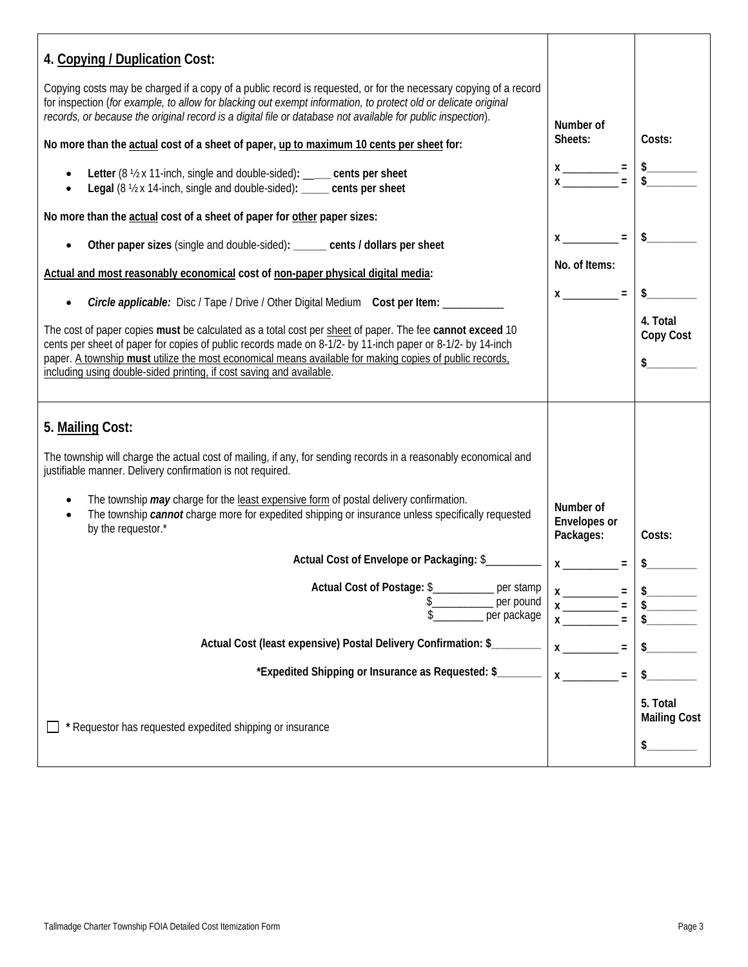| 4. Copying / Duplication Cost:                                                                                                                                                                                                                                                                                                                                                                            |                                                                                                                                                                                                                                                                                                  |                                        |
|-----------------------------------------------------------------------------------------------------------------------------------------------------------------------------------------------------------------------------------------------------------------------------------------------------------------------------------------------------------------------------------------------------------|--------------------------------------------------------------------------------------------------------------------------------------------------------------------------------------------------------------------------------------------------------------------------------------------------|----------------------------------------|
| Copying costs may be charged if a copy of a public record is requested, or for the necessary copying of a record<br>for inspection (for example, to allow for blacking out exempt information, to protect old or delicate original<br>records, or because the original record is a digital file or database not available for public inspection).                                                         | Number of                                                                                                                                                                                                                                                                                        |                                        |
| No more than the actual cost of a sheet of paper, up to maximum 10 cents per sheet for:                                                                                                                                                                                                                                                                                                                   |                                                                                                                                                                                                                                                                                                  | Costs:                                 |
| Letter (8 1/2 x 11-inch, single and double-sided): ____ cents per sheet<br>Legal (8 1/2 x 14-inch, single and double-sided): ____ cents per sheet                                                                                                                                                                                                                                                         | $x \x $ = $\frac{1}{3}$                                                                                                                                                                                                                                                                          |                                        |
| No more than the actual cost of a sheet of paper for other paper sizes:                                                                                                                                                                                                                                                                                                                                   |                                                                                                                                                                                                                                                                                                  |                                        |
| Other paper sizes (single and double-sided): ______ cents / dollars per sheet                                                                                                                                                                                                                                                                                                                             | $x$ _________ = $\frac{1}{2}$ \$                                                                                                                                                                                                                                                                 |                                        |
| Actual and most reasonably economical cost of non-paper physical digital media:                                                                                                                                                                                                                                                                                                                           | No. of Items:                                                                                                                                                                                                                                                                                    |                                        |
| Circle applicable: Disc / Tape / Drive / Other Digital Medium Cost per Item: ____                                                                                                                                                                                                                                                                                                                         | $x \overline{)} =$                                                                                                                                                                                                                                                                               | $\frac{1}{2}$                          |
| The cost of paper copies must be calculated as a total cost per sheet of paper. The fee cannot exceed 10<br>cents per sheet of paper for copies of public records made on 8-1/2- by 11-inch paper or 8-1/2- by 14-inch<br>paper. A township must utilize the most economical means available for making copies of public records,<br>including using double-sided printing, if cost saving and available. |                                                                                                                                                                                                                                                                                                  | 4. Total<br>Copy Cost<br>\$            |
| 5. Mailing Cost:                                                                                                                                                                                                                                                                                                                                                                                          |                                                                                                                                                                                                                                                                                                  |                                        |
| The township will charge the actual cost of mailing, if any, for sending records in a reasonably economical and<br>justifiable manner. Delivery confirmation is not required.                                                                                                                                                                                                                             |                                                                                                                                                                                                                                                                                                  |                                        |
| The township may charge for the least expensive form of postal delivery confirmation.<br>The township cannot charge more for expedited shipping or insurance unless specifically requested<br>by the requestor.*                                                                                                                                                                                          | Number of<br>Envelopes or<br>Packages:                                                                                                                                                                                                                                                           | Costs:                                 |
| Actual Cost of Envelope or Packaging: \$                                                                                                                                                                                                                                                                                                                                                                  | $x \overline{\phantom{a}} =$                                                                                                                                                                                                                                                                     | $\frac{1}{2}$                          |
| Actual Cost of Postage: \$<br>per stamp<br>per pound<br>per package                                                                                                                                                                                                                                                                                                                                       | $=$                                                                                                                                                                                                                                                                                              |                                        |
| Actual Cost (least expensive) Postal Delivery Confirmation: \$                                                                                                                                                                                                                                                                                                                                            | $\mathsf{X}$ and $\mathsf{X}$ and $\mathsf{X}$ are $\mathsf{X}$ and $\mathsf{X}$ are $\mathsf{X}$ and $\mathsf{X}$ are $\mathsf{X}$ and $\mathsf{X}$ are $\mathsf{X}$ and $\mathsf{X}$ are $\mathsf{X}$ and $\mathsf{X}$ are $\mathsf{X}$ and $\mathsf{X}$ are $\mathsf{X}$ and $\mathsf{X}$ are |                                        |
| *Expedited Shipping or Insurance as Requested: \$                                                                                                                                                                                                                                                                                                                                                         | $\mathsf{X}$<br>$\equiv$                                                                                                                                                                                                                                                                         |                                        |
| * Requestor has requested expedited shipping or insurance                                                                                                                                                                                                                                                                                                                                                 |                                                                                                                                                                                                                                                                                                  | 5. Total<br><b>Mailing Cost</b><br>\$. |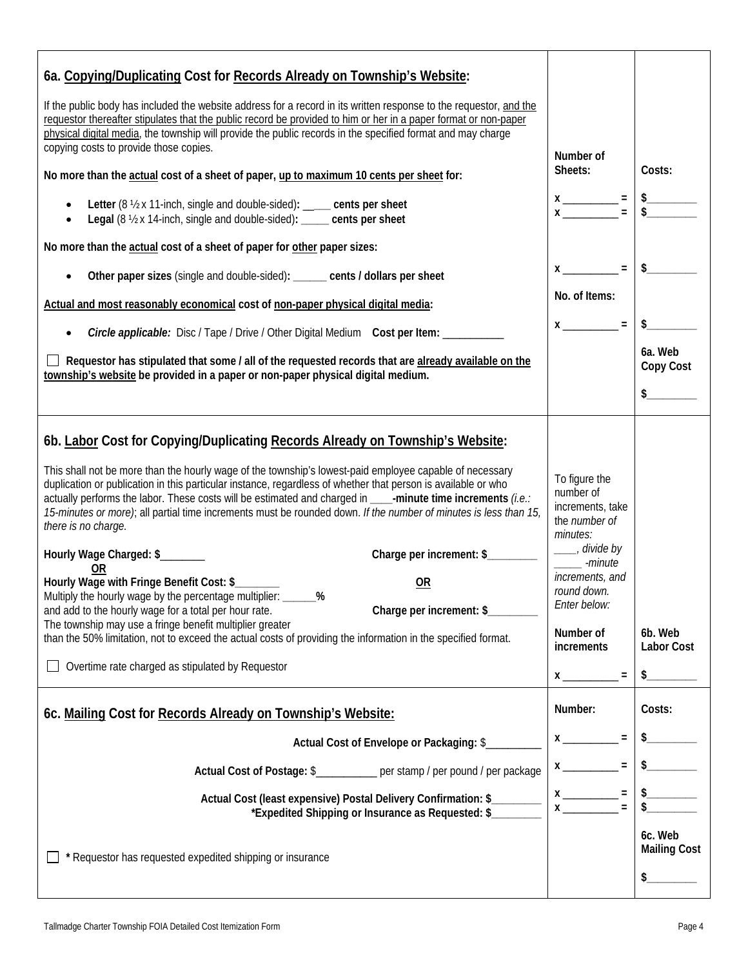| 6a. Copying/Duplicating Cost for Records Already on Township's Website:                                                                                                                                                                                                                                                                                                                                                                                                                                                                                                                                                                                                                                                                                                                                                                                                                                                                                                                                                                                                                        |                                                                                                                                                                                                                                         |                                                 |
|------------------------------------------------------------------------------------------------------------------------------------------------------------------------------------------------------------------------------------------------------------------------------------------------------------------------------------------------------------------------------------------------------------------------------------------------------------------------------------------------------------------------------------------------------------------------------------------------------------------------------------------------------------------------------------------------------------------------------------------------------------------------------------------------------------------------------------------------------------------------------------------------------------------------------------------------------------------------------------------------------------------------------------------------------------------------------------------------|-----------------------------------------------------------------------------------------------------------------------------------------------------------------------------------------------------------------------------------------|-------------------------------------------------|
| If the public body has included the website address for a record in its written response to the requestor, and the<br>requestor thereafter stipulates that the public record be provided to him or her in a paper format or non-paper<br>physical digital media, the township will provide the public records in the specified format and may charge<br>copying costs to provide those copies.                                                                                                                                                                                                                                                                                                                                                                                                                                                                                                                                                                                                                                                                                                 | Number of                                                                                                                                                                                                                               |                                                 |
| No more than the actual cost of a sheet of paper, up to maximum 10 cents per sheet for:                                                                                                                                                                                                                                                                                                                                                                                                                                                                                                                                                                                                                                                                                                                                                                                                                                                                                                                                                                                                        | Sheets:                                                                                                                                                                                                                                 | Costs:                                          |
| Letter (8 1/2 x 11-inch, single and double-sided): ____ cents per sheet<br>Legal (8 1/2 x 14-inch, single and double-sided): ____ cents per sheet                                                                                                                                                                                                                                                                                                                                                                                                                                                                                                                                                                                                                                                                                                                                                                                                                                                                                                                                              | $x \frac{1}{x} = 1$                                                                                                                                                                                                                     |                                                 |
| No more than the actual cost of a sheet of paper for other paper sizes:                                                                                                                                                                                                                                                                                                                                                                                                                                                                                                                                                                                                                                                                                                                                                                                                                                                                                                                                                                                                                        |                                                                                                                                                                                                                                         |                                                 |
| Other paper sizes (single and double-sided): ______ cents / dollars per sheet                                                                                                                                                                                                                                                                                                                                                                                                                                                                                                                                                                                                                                                                                                                                                                                                                                                                                                                                                                                                                  | $x \_$ = $\$$                                                                                                                                                                                                                           |                                                 |
| Actual and most reasonably economical cost of non-paper physical digital media:                                                                                                                                                                                                                                                                                                                                                                                                                                                                                                                                                                                                                                                                                                                                                                                                                                                                                                                                                                                                                | No. of Items:                                                                                                                                                                                                                           |                                                 |
| Circle applicable: Disc / Tape / Drive / Other Digital Medium Cost per Item: _________<br>$\bullet$                                                                                                                                                                                                                                                                                                                                                                                                                                                                                                                                                                                                                                                                                                                                                                                                                                                                                                                                                                                            | $x \sim 1$                                                                                                                                                                                                                              | $\frac{1}{2}$                                   |
| $\Box$ Requestor has stipulated that some / all of the requested records that are already available on the<br>township's website be provided in a paper or non-paper physical digital medium.                                                                                                                                                                                                                                                                                                                                                                                                                                                                                                                                                                                                                                                                                                                                                                                                                                                                                                  |                                                                                                                                                                                                                                         | 6a. Web<br>Copy Cost                            |
|                                                                                                                                                                                                                                                                                                                                                                                                                                                                                                                                                                                                                                                                                                                                                                                                                                                                                                                                                                                                                                                                                                |                                                                                                                                                                                                                                         |                                                 |
| 6b. Labor Cost for Copying/Duplicating Records Already on Township's Website:<br>This shall not be more than the hourly wage of the township's lowest-paid employee capable of necessary<br>duplication or publication in this particular instance, regardless of whether that person is available or who<br>actually performs the labor. These costs will be estimated and charged in ____-minute time increments (i.e.:<br>15-minutes or more); all partial time increments must be rounded down. If the number of minutes is less than 15,<br>there is no charge.<br>Charge per increment: \$<br>Hourly Wage Charged: \$<br><b>OR</b><br>Hourly Wage with Fringe Benefit Cost: \$<br>OR<br>Multiply the hourly wage by the percentage multiplier: _<br>$\frac{0}{2}$<br>Charge per increment: \$_<br>and add to the hourly wage for a total per hour rate.<br>The township may use a fringe benefit multiplier greater<br>than the 50% limitation, not to exceed the actual costs of providing the information in the specified format.<br>Overtime rate charged as stipulated by Requestor | To figure the<br>number of<br>increments, take<br>the number of<br>minutes:<br>____, divide by<br>______ -minute<br>increments, and<br>round down.<br>Enter below:<br>Number of<br>increments<br>$\equiv$<br>$x \overline{\phantom{a}}$ | 6b. Web<br>Labor Cost<br>$\frac{1}{2}$          |
| 6c. Mailing Cost for Records Already on Township's Website:                                                                                                                                                                                                                                                                                                                                                                                                                                                                                                                                                                                                                                                                                                                                                                                                                                                                                                                                                                                                                                    | Number:                                                                                                                                                                                                                                 | Costs:                                          |
| Actual Cost of Envelope or Packaging: \$                                                                                                                                                                                                                                                                                                                                                                                                                                                                                                                                                                                                                                                                                                                                                                                                                                                                                                                                                                                                                                                       | $x \overline{\phantom{a}} =$                                                                                                                                                                                                            |                                                 |
| Actual Cost of Postage: \$__________ per stamp / per pound / per package                                                                                                                                                                                                                                                                                                                                                                                                                                                                                                                                                                                                                                                                                                                                                                                                                                                                                                                                                                                                                       | $x \sim$<br>$\equiv$                                                                                                                                                                                                                    |                                                 |
| Actual Cost (least expensive) Postal Delivery Confirmation: \$<br>*Expedited Shipping or Insurance as Requested: \$                                                                                                                                                                                                                                                                                                                                                                                                                                                                                                                                                                                                                                                                                                                                                                                                                                                                                                                                                                            | $=$                                                                                                                                                                                                                                     |                                                 |
| * Requestor has requested expedited shipping or insurance                                                                                                                                                                                                                                                                                                                                                                                                                                                                                                                                                                                                                                                                                                                                                                                                                                                                                                                                                                                                                                      |                                                                                                                                                                                                                                         | 6c. Web<br><b>Mailing Cost</b><br>$\frac{1}{2}$ |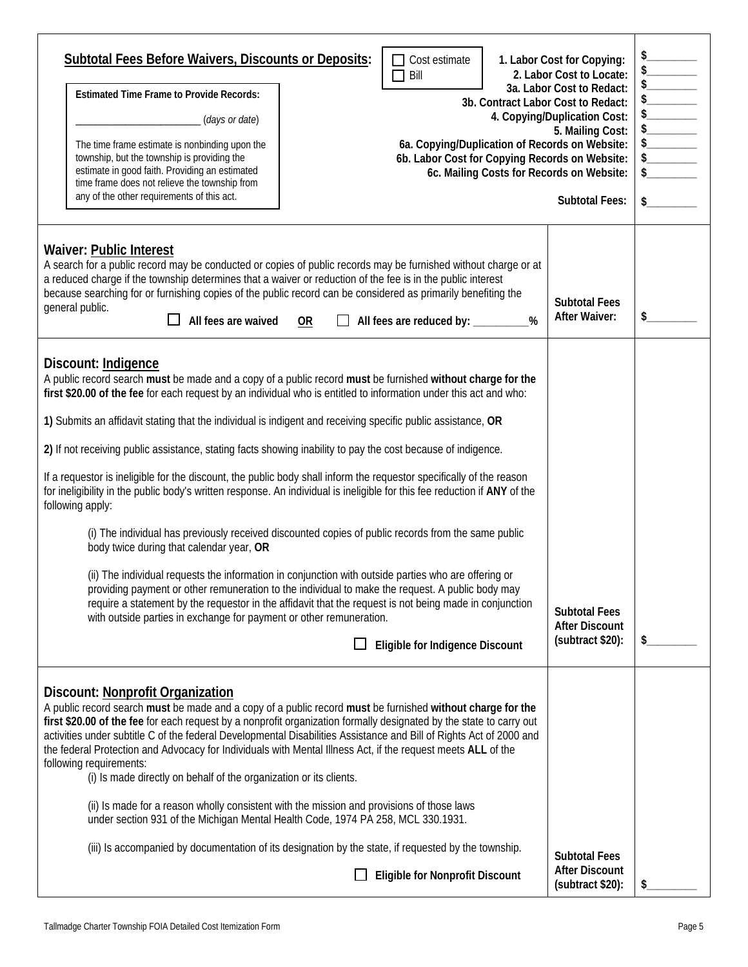| <b>Subtotal Fees Before Waivers, Discounts or Deposits:</b><br>$\Box$ Cost estimate<br>Bill<br>$\Box$<br><b>Estimated Time Frame to Provide Records:</b><br>3b. Contract Labor Cost to Redact:<br>(days or date)<br>6a. Copying/Duplication of Records on Website:<br>The time frame estimate is nonbinding upon the<br>township, but the township is providing the<br>6b. Labor Cost for Copying Records on Website:<br>estimate in good faith. Providing an estimated<br>6c. Mailing Costs for Records on Website:<br>time frame does not relieve the township from<br>any of the other requirements of this act.                                                                                                                                                                                                                                                                                                                                                                                                                                                                                                                                                                                                                                                                                                                                 | 1. Labor Cost for Copying:<br>2. Labor Cost to Locate:<br>3a. Labor Cost to Redact:<br>4. Copying/Duplication Cost:<br>5. Mailing Cost:<br><b>Subtotal Fees:</b> | $\begin{picture}(120,15) \put(0,0){\line(1,0){150}} \put(15,0){\line(1,0){150}} \put(15,0){\line(1,0){150}} \put(15,0){\line(1,0){150}} \put(15,0){\line(1,0){150}} \put(15,0){\line(1,0){150}} \put(15,0){\line(1,0){150}} \put(15,0){\line(1,0){150}} \put(15,0){\line(1,0){150}} \put(15,0){\line(1,0){150}} \put(15,0){\line(1,0){150}}$<br>s |
|-----------------------------------------------------------------------------------------------------------------------------------------------------------------------------------------------------------------------------------------------------------------------------------------------------------------------------------------------------------------------------------------------------------------------------------------------------------------------------------------------------------------------------------------------------------------------------------------------------------------------------------------------------------------------------------------------------------------------------------------------------------------------------------------------------------------------------------------------------------------------------------------------------------------------------------------------------------------------------------------------------------------------------------------------------------------------------------------------------------------------------------------------------------------------------------------------------------------------------------------------------------------------------------------------------------------------------------------------------|------------------------------------------------------------------------------------------------------------------------------------------------------------------|---------------------------------------------------------------------------------------------------------------------------------------------------------------------------------------------------------------------------------------------------------------------------------------------------------------------------------------------------|
| <b>Waiver: Public Interest</b><br>A search for a public record may be conducted or copies of public records may be furnished without charge or at<br>a reduced charge if the township determines that a waiver or reduction of the fee is in the public interest<br>because searching for or furnishing copies of the public record can be considered as primarily benefiting the<br>general public.<br>All fees are waived<br>OR<br>All fees are reduced by: _________<br>%                                                                                                                                                                                                                                                                                                                                                                                                                                                                                                                                                                                                                                                                                                                                                                                                                                                                        | <b>Subtotal Fees</b><br><b>After Waiver:</b>                                                                                                                     | \$.                                                                                                                                                                                                                                                                                                                                               |
| Discount: Indigence<br>A public record search must be made and a copy of a public record must be furnished without charge for the<br>first \$20.00 of the fee for each request by an individual who is entitled to information under this act and who:<br>1) Submits an affidavit stating that the individual is indigent and receiving specific public assistance, OR<br>2) If not receiving public assistance, stating facts showing inability to pay the cost because of indigence.<br>If a requestor is ineligible for the discount, the public body shall inform the requestor specifically of the reason<br>for ineligibility in the public body's written response. An individual is ineligible for this fee reduction if ANY of the<br>following apply:<br>(i) The individual has previously received discounted copies of public records from the same public<br>body twice during that calendar year, OR<br>(ii) The individual requests the information in conjunction with outside parties who are offering or<br>providing payment or other remuneration to the individual to make the request. A public body may<br>require a statement by the requestor in the affidavit that the request is not being made in conjunction<br>with outside parties in exchange for payment or other remuneration.<br>Eligible for Indigence Discount | <b>Subtotal Fees</b><br><b>After Discount</b><br>(subtract \$20):                                                                                                | \$                                                                                                                                                                                                                                                                                                                                                |
| Discount: Nonprofit Organization<br>A public record search must be made and a copy of a public record must be furnished without charge for the<br>first \$20.00 of the fee for each request by a nonprofit organization formally designated by the state to carry out<br>activities under subtitle C of the federal Developmental Disabilities Assistance and Bill of Rights Act of 2000 and<br>the federal Protection and Advocacy for Individuals with Mental Illness Act, if the request meets ALL of the<br>following requirements:<br>(i) Is made directly on behalf of the organization or its clients.<br>(ii) Is made for a reason wholly consistent with the mission and provisions of those laws<br>under section 931 of the Michigan Mental Health Code, 1974 PA 258, MCL 330.1931.<br>(iii) Is accompanied by documentation of its designation by the state, if requested by the township.<br><b>Eligible for Nonprofit Discount</b>                                                                                                                                                                                                                                                                                                                                                                                                    | <b>Subtotal Fees</b><br><b>After Discount</b><br>(subtract \$20):                                                                                                |                                                                                                                                                                                                                                                                                                                                                   |